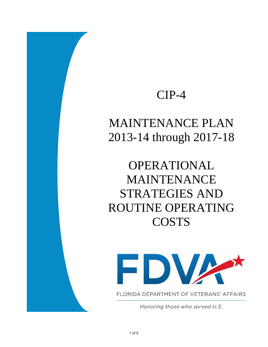## CIP-4

## MAINTENANCE PLAN 2013-14 through 2017-18

## OPERATIONAL MAINTENANCE STRATEGIES AND ROUTINE OPERATING **COSTS**



FLORIDA DEPARTMENT OF VETERANS' AFFAIRS

Honoring those who served U.S.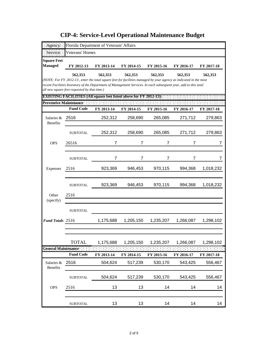|                               |                                              | Florida Department of Veterans' Affairs                                                                           |            |            |            |              |
|-------------------------------|----------------------------------------------|-------------------------------------------------------------------------------------------------------------------|------------|------------|------------|--------------|
| Service:                      | Veterans' Homes                              |                                                                                                                   |            |            |            |              |
| <b>Square Feet</b>            |                                              |                                                                                                                   |            |            |            |              |
| <b>Managed</b>                | FY 2012-13                                   | FY 2013-14                                                                                                        | FY 2014-15 | FY 2015-16 | FY 2016-17 | FY 2017-18   |
|                               | 562,353                                      | 562,353                                                                                                           | 562,353    | 562,353    | 562,353    | 562,353      |
|                               |                                              | (NOTE: For FY 2012-13, enter the total square feet for facilities managed by your agency as indicated in the most |            |            |            |              |
|                               | all new square feet requested by that time.) | recent Facilities Inventory of the Department of Management Services. In each subsequent year, add to this total  |            |            |            |              |
|                               |                                              | <b>EXISTING FACILITIES (All square feet listed above for FY 2012-13):</b>                                         |            |            |            |              |
| Preventive Maintenance:       |                                              |                                                                                                                   |            |            |            |              |
|                               | <b>Fund Code</b>                             | FY 2013-14                                                                                                        | FY 2014-15 | FY 2015-16 | FY 2016-17 | FY 2017-18   |
| Salaries &<br><b>Benefits</b> | 2516                                         | 252,312                                                                                                           | 258,690    | 265,085    | 271,712    | 279,863      |
|                               | <b>SUBTOTAL</b>                              | 252,312                                                                                                           | 258,690    | 265,085    | 271,712    | 279,863      |
| <b>OPS</b>                    | 26516                                        | 7                                                                                                                 | 7          | 7          | 7          | <sup>'</sup> |
|                               | <b>SUBTOTAL</b>                              | 7                                                                                                                 | 7          | 7          | 7          | 7            |
| Expenses                      | 2516                                         | 923,369                                                                                                           | 946,453    | 970,115    | 994,368    | 1,018,232    |
|                               | <b>SUBTOTAL</b>                              | 923,369                                                                                                           | 946,453    | 970,115    | 994,368    | 1,018,232    |
| Other<br>(specify)            | 2516                                         |                                                                                                                   |            |            |            |              |
|                               | SUBTOTAL                                     |                                                                                                                   |            |            |            |              |
| Fund Totals 2516              |                                              | 1,175,688                                                                                                         | 1,205,150  | 1,235,207  | 1,266,087  | 1,298,102    |
|                               |                                              |                                                                                                                   |            |            |            |              |
|                               | <b>TOTAL</b>                                 | 1,175,688                                                                                                         | 1,205,150  | 1,235,207  | 1,266,087  | 1,298,102    |
| <b>General Maintenance</b>    |                                              |                                                                                                                   |            |            |            |              |
|                               | <b>Fund Code</b>                             | FY 2013-14                                                                                                        | FY 2014-15 | FY 2015-16 | FY 2016-17 | FY 2017-18   |
| Salaries &<br>Benefits        | 2516                                         | 504,624                                                                                                           | 517,239    | 530,170    | 543,425    | 556,467      |
|                               | <b>SUBTOTAL</b>                              | 504,624                                                                                                           | 517,239    | 530,170    | 543,425    | 556,467      |
| <b>OPS</b>                    | 2516                                         | 13                                                                                                                | 13         | 14         | 14         | 14           |
|                               | <b>SUBTOTAL</b>                              | 13                                                                                                                | 13         | 14         | 14         | 14           |

**CIP-4: Service-Level Operational Maintenance Budget**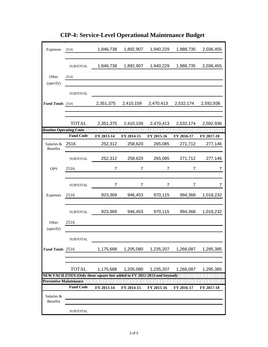| Expenses               | 2516             | 1,846,738                                                                 | 1,892,907        | 1,940,229      | 1,988,735      | 2,036,455  |
|------------------------|------------------|---------------------------------------------------------------------------|------------------|----------------|----------------|------------|
|                        | <b>SUBTOTAL</b>  | 1,846,738                                                                 | 1,892,907        | 1,940,229      | 1,988,735      | 2,036,455  |
| Other                  | 2516             |                                                                           |                  |                |                |            |
| (specify)              |                  |                                                                           |                  |                |                |            |
|                        | <b>SUBTOTAL</b>  |                                                                           |                  |                |                |            |
| Fund Totals 2516       |                  | 2,351,375                                                                 | 2,410,159        | 2,470,413      | 2,532,174      | 2,592,936  |
|                        |                  |                                                                           |                  |                |                |            |
|                        | <b>TOTAL</b>     | 2,351,375                                                                 | 2,410,159        | 2,470,413      | 2,532,174      | 2,592,936  |
|                        |                  | Routine: Operating Costs [11] [11] [11]                                   | $-1 - 1 - 1 = 1$ |                |                |            |
|                        | <b>Fund Code</b> | FY 2013-14                                                                | FY 2014-15       | FY 2015-16     | FY 2016-17     | FY 2017-18 |
| Salaries &             | 2516             | 252,312                                                                   | 258,620          | 265,085        | 271,712        | 277,146    |
| Benefits               |                  |                                                                           |                  |                |                |            |
|                        | <b>SUBTOTAL</b>  | 252,312                                                                   | 258,620          | 265,085        | 271,712        | 277,146    |
| <b>OPS</b>             | 2516             | $\overline{7}$                                                            | $\overline{7}$   | $\overline{7}$ | $\overline{7}$ | 7          |
|                        |                  |                                                                           |                  |                |                |            |
|                        | <b>SUBTOTAL</b>  | 7                                                                         | $\overline{7}$   | 7              | 7              | 7          |
| Expenses               | 2516             | 923,369                                                                   | 946,453          | 970,115        | 994,368        | 1,018,232  |
|                        |                  |                                                                           |                  |                |                |            |
|                        | <b>SUBTOTAL</b>  | 923,369                                                                   | 946,453          | 970,115        | 994,368        | 1,018,232  |
| Other                  | 2516             |                                                                           |                  |                |                |            |
| (specify)              |                  |                                                                           |                  |                |                |            |
|                        | <b>SUBTOTAL</b>  |                                                                           |                  |                |                |            |
| Fund Totals 2516       |                  | 1,175,688                                                                 | 1,205,080        | 1,235,207      | 1,266,087      | 1,295,385  |
|                        |                  |                                                                           |                  |                |                |            |
|                        |                  |                                                                           |                  |                |                |            |
|                        | <b>TOTAL</b>     | 1,175,688                                                                 | 1,205,080        | 1,235,207      | 1,266,087      | 1,295,385  |
| Preventive Maintenance |                  | NEW FACILITIES (Only those square feet added in FY 2012-2013 and beyond): |                  |                |                |            |
|                        | <b>Fund Code</b> | FY 2013-14                                                                | FY 2014-15       | FY 2015-16     | FY 2016-17     | FY 2017-18 |
| Salaries &             |                  |                                                                           |                  |                |                |            |
| <b>Benefits</b>        |                  |                                                                           |                  |                |                |            |
|                        | <b>SUBTOTAL</b>  |                                                                           |                  |                |                |            |

**CIP-4: Service-Level Operational Maintenance Budget**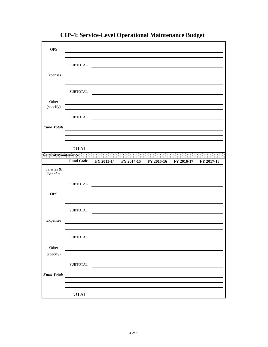| <b>OPS</b>                    |                  |            |            |                                                                                        |            |                 |
|-------------------------------|------------------|------------|------------|----------------------------------------------------------------------------------------|------------|-----------------|
| Expenses                      | ${\tt SUBTOTAL}$ |            |            |                                                                                        |            |                 |
| Other                         | <b>SUBTOTAL</b>  |            |            |                                                                                        |            |                 |
| (specify)                     | <b>SUBTOTAL</b>  |            |            |                                                                                        |            |                 |
| <b>Fund Totals</b>            |                  |            |            |                                                                                        |            |                 |
|                               | <b>TOTAL</b>     |            |            | General Maintenance and a state of the state of the state of the state of the state of |            | <b>START AT</b> |
|                               | <b>Fund Code</b> | FY 2013-14 | FY 2014-15 | FY 2015-16                                                                             | FY 2016-17 | FY 2017-18      |
| Salaries &<br><b>Benefits</b> |                  |            |            |                                                                                        |            |                 |
|                               | <b>SUBTOTAL</b>  |            |            |                                                                                        |            |                 |
| <b>OPS</b>                    |                  |            |            |                                                                                        |            |                 |
|                               | <b>SUBTOTAL</b>  |            |            |                                                                                        |            |                 |
| Expenses                      |                  |            |            |                                                                                        |            |                 |
|                               | ${\tt SUBTOTAL}$ |            |            |                                                                                        |            |                 |
| Other<br>(specify)            |                  |            |            |                                                                                        |            |                 |
| <b>Fund Totals</b>            | ${\tt SUBTOTAL}$ |            |            |                                                                                        |            |                 |
|                               |                  |            |            |                                                                                        |            |                 |
|                               | <b>TOTAL</b>     |            |            |                                                                                        |            |                 |

**CIP-4: Service-Level Operational Maintenance Budget**